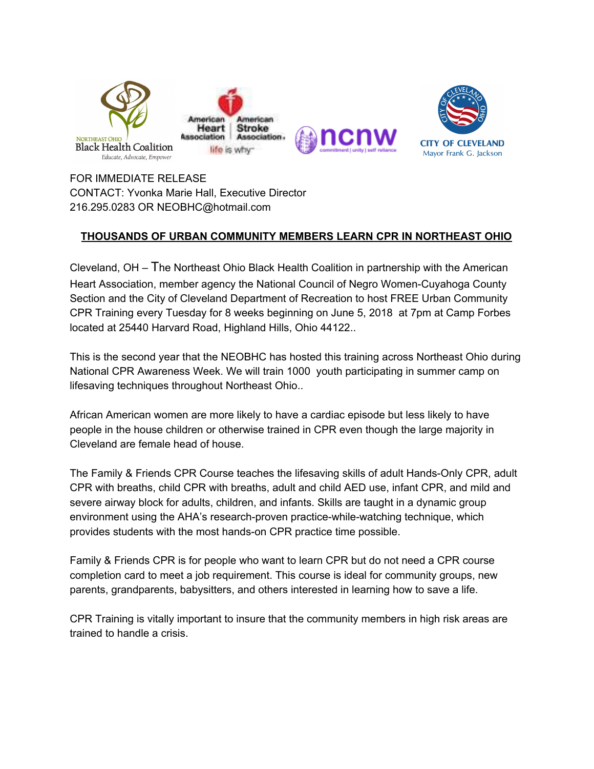

FOR IMMEDIATE RELEASE CONTACT: Yvonka Marie Hall, Executive Director 216.295.0283 OR NEOBHC@hotmail.com

# **THOUSANDS OF URBAN COMMUNITY MEMBERS LEARN CPR IN NORTHEAST OHIO**

Cleveland, OH – The Northeast Ohio Black Health Coalition in partnership with the American Heart Association, member agency the National Council of Negro Women-Cuyahoga County Section and the City of Cleveland Department of Recreation to host FREE Urban Community CPR Training every Tuesday for 8 weeks beginning on June 5, 2018 at 7pm at Camp Forbes located at 25440 Harvard Road, Highland Hills, Ohio 44122..

This is the second year that the NEOBHC has hosted this training across Northeast Ohio during National CPR Awareness Week. We will train 1000 youth participating in summer camp on lifesaving techniques throughout Northeast Ohio..

African American women are more likely to have a cardiac episode but less likely to have people in the house children or otherwise trained in CPR even though the large majority in Cleveland are female head of house.

The Family & Friends CPR Course teaches the lifesaving skills of adult Hands-Only CPR, adult CPR with breaths, child CPR with breaths, adult and child AED use, infant CPR, and mild and severe airway block for adults, children, and infants. Skills are taught in a dynamic group environment using the AHA's research-proven practice-while-watching technique, which provides students with the most hands-on CPR practice time possible.

Family & Friends CPR is for people who want to learn CPR but do not need a CPR course completion card to meet a job requirement. This course is ideal for community groups, new parents, grandparents, babysitters, and others interested in learning how to save a life.

CPR Training is vitally important to insure that the community members in high risk areas are trained to handle a crisis.